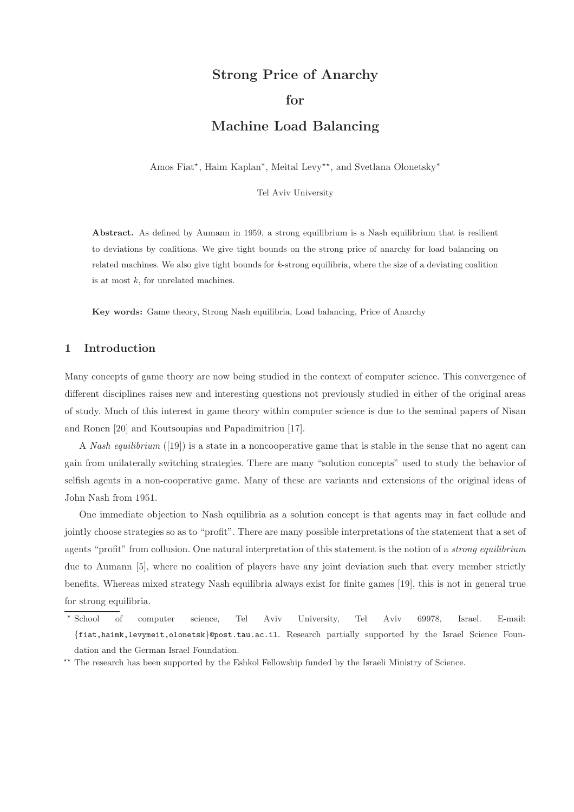# Strong Price of Anarchy

## for

## Machine Load Balancing

Amos Fiat<sup>\*</sup>, Haim Kaplan<sup>\*</sup>, Meital Levy<sup>\*\*</sup>, and Svetlana Olonetsky<sup>\*</sup>

Tel Aviv University

Abstract. As defined by Aumann in 1959, a strong equilibrium is a Nash equilibrium that is resilient to deviations by coalitions. We give tight bounds on the strong price of anarchy for load balancing on related machines. We also give tight bounds for  $k$ -strong equilibria, where the size of a deviating coalition is at most  $k$ , for unrelated machines.

Key words: Game theory, Strong Nash equilibria, Load balancing, Price of Anarchy

### 1 Introduction

Many concepts of game theory are now being studied in the context of computer science. This convergence of different disciplines raises new and interesting questions not previously studied in either of the original areas of study. Much of this interest in game theory within computer science is due to the seminal papers of Nisan and Ronen [20] and Koutsoupias and Papadimitriou [17].

A Nash equilibrium ([19]) is a state in a noncooperative game that is stable in the sense that no agent can gain from unilaterally switching strategies. There are many "solution concepts" used to study the behavior of selfish agents in a non-cooperative game. Many of these are variants and extensions of the original ideas of John Nash from 1951.

One immediate objection to Nash equilibria as a solution concept is that agents may in fact collude and jointly choose strategies so as to "profit". There are many possible interpretations of the statement that a set of agents "profit" from collusion. One natural interpretation of this statement is the notion of a *strong equilibrium* due to Aumann [5], where no coalition of players have any joint deviation such that every member strictly benefits. Whereas mixed strategy Nash equilibria always exist for finite games [19], this is not in general true for strong equilibria.

 $^\star$ School School of computer science, Tel Aviv University, Tel Aviv 69978, Israel. E-mail: {fiat,haimk,levymeit,olonetsk}@post.tau.ac.il. Research partially supported by the Israel Science Foundation and the German Israel Foundation.

<sup>\*\*</sup> The research has been supported by the Eshkol Fellowship funded by the Israeli Ministry of Science.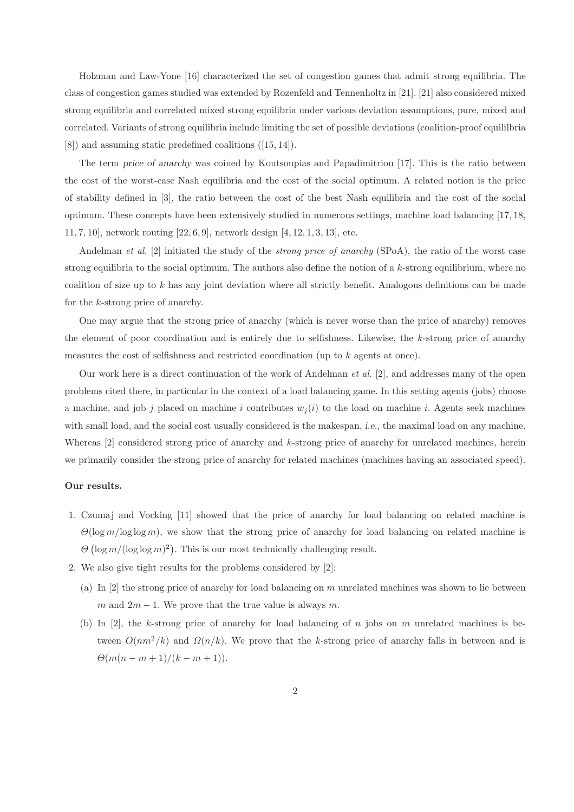Holzman and Law-Yone [16] characterized the set of congestion games that admit strong equilibria. The class of congestion games studied was extended by Rozenfeld and Tennenholtz in [21]. [21] also considered mixed strong equilibria and correlated mixed strong equilibria under various deviation assumptions, pure, mixed and correlated. Variants of strong equilibria include limiting the set of possible deviations (coalition-proof equililbria [8]) and assuming static predefined coalitions ([15, 14]).

The term price of anarchy was coined by Koutsoupias and Papadimitriou [17]. This is the ratio between the cost of the worst-case Nash equilibria and the cost of the social optimum. A related notion is the price of stability defined in [3], the ratio between the cost of the best Nash equilibria and the cost of the social optimum. These concepts have been extensively studied in numerous settings, machine load balancing [17, 18, 11, 7, 10], network routing [22, 6, 9], network design [4, 12, 1, 3, 13], etc.

Andelman *et al.* [2] initiated the study of the *strong price of anarchy* (SPoA), the ratio of the worst case strong equilibria to the social optimum. The authors also define the notion of a  $k$ -strong equilibrium, where no coalition of size up to k has any joint deviation where all strictly benefit. Analogous definitions can be made for the k-strong price of anarchy.

One may argue that the strong price of anarchy (which is never worse than the price of anarchy) removes the element of poor coordination and is entirely due to selfishness. Likewise, the  $k$ -strong price of anarchy measures the cost of selfishness and restricted coordination (up to  $k$  agents at once).

Our work here is a direct continuation of the work of Andelman *et al.* [2], and addresses many of the open problems cited there, in particular in the context of a load balancing game. In this setting agents (jobs) choose a machine, and job j placed on machine i contributes  $w_i(i)$  to the load on machine i. Agents seek machines with small load, and the social cost usually considered is the makespan, *i.e.*, the maximal load on any machine. Whereas  $[2]$  considered strong price of anarchy and k-strong price of anarchy for unrelated machines, herein we primarily consider the strong price of anarchy for related machines (machines having an associated speed).

#### Our results.

- 1. Czumaj and Vocking [11] showed that the price of anarchy for load balancing on related machine is  $\Theta(\log m / \log \log m)$ , we show that the strong price of anarchy for load balancing on related machine is  $\Theta(\log m/(\log \log m)^2)$ . This is our most technically challenging result.
- 2. We also give tight results for the problems considered by [2]:
	- (a) In  $[2]$  the strong price of anarchy for load balancing on m unrelated machines was shown to lie between m and  $2m - 1$ . We prove that the true value is always m.
	- (b) In  $[2]$ , the k-strong price of anarchy for load balancing of n jobs on m unrelated machines is between  $O(nm^2/k)$  and  $\Omega(n/k)$ . We prove that the k-strong price of anarchy falls in between and is  $\Theta(m(n-m+1)/(k-m+1)).$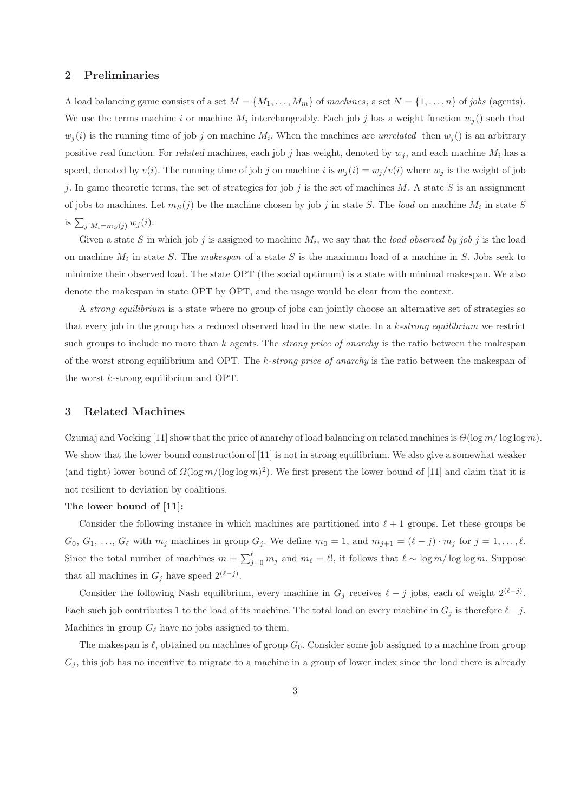## 2 Preliminaries

A load balancing game consists of a set  $M = \{M_1, \ldots, M_m\}$  of machines, a set  $N = \{1, \ldots, n\}$  of jobs (agents). We use the terms machine i or machine  $M_i$  interchangeably. Each job j has a weight function  $w_j()$  such that  $w_j(i)$  is the running time of job j on machine  $M_i$ . When the machines are unrelated then  $w_j()$  is an arbitrary positive real function. For related machines, each job j has weight, denoted by  $w_i$ , and each machine  $M_i$  has a speed, denoted by  $v(i)$ . The running time of job j on machine i is  $w_i(i) = w_j/v(i)$  where  $w_j$  is the weight of job j. In game theoretic terms, the set of strategies for job j is the set of machines M. A state S is an assignment of jobs to machines. Let  $m_S(j)$  be the machine chosen by job j in state S. The load on machine  $M_i$  in state S is  $\sum_{j|M_i=m_S(j)} w_j(i)$ .

Given a state S in which job j is assigned to machine  $M_i$ , we say that the *load observed by job j* is the load on machine  $M_i$  in state S. The makespan of a state S is the maximum load of a machine in S. Jobs seek to minimize their observed load. The state OPT (the social optimum) is a state with minimal makespan. We also denote the makespan in state OPT by OPT, and the usage would be clear from the context.

A strong equilibrium is a state where no group of jobs can jointly choose an alternative set of strategies so that every job in the group has a reduced observed load in the new state. In a  $k\text{-}strong\ equilibrium$  we restrict such groups to include no more than k agents. The *strong price of anarchy* is the ratio between the makespan of the worst strong equilibrium and OPT. The k-strong price of anarchy is the ratio between the makespan of the worst k-strong equilibrium and OPT.

## 3 Related Machines

Czumaj and Vocking [11] show that the price of anarchy of load balancing on related machines is  $\Theta(\log m / \log \log m)$ . We show that the lower bound construction of [11] is not in strong equilibrium. We also give a somewhat weaker (and tight) lower bound of  $\Omega(\log m/(\log \log m)^2)$ . We first present the lower bound of [11] and claim that it is not resilient to deviation by coalitions.

## The lower bound of [11]:

Consider the following instance in which machines are partitioned into  $\ell + 1$  groups. Let these groups be  $G_0, G_1, \ldots, G_\ell$  with  $m_j$  machines in group  $G_j$ . We define  $m_0 = 1$ , and  $m_{j+1} = (\ell - j) \cdot m_j$  for  $j = 1, \ldots, \ell$ . Since the total number of machines  $m = \sum_{j=0}^{\ell} m_j$  and  $m_{\ell} = \ell!$ , it follows that  $\ell \sim \log m / \log \log m$ . Suppose that all machines in  $G_j$  have speed  $2^{(\ell-j)}$ .

Consider the following Nash equilibrium, every machine in  $G_j$  receives  $\ell - j$  jobs, each of weight  $2^{(\ell - j)}$ . Each such job contributes 1 to the load of its machine. The total load on every machine in  $G_j$  is therefore  $\ell - j$ . Machines in group  $G_{\ell}$  have no jobs assigned to them.

The makespan is  $\ell$ , obtained on machines of group  $G_0$ . Consider some job assigned to a machine from group  $G_i$ , this job has no incentive to migrate to a machine in a group of lower index since the load there is already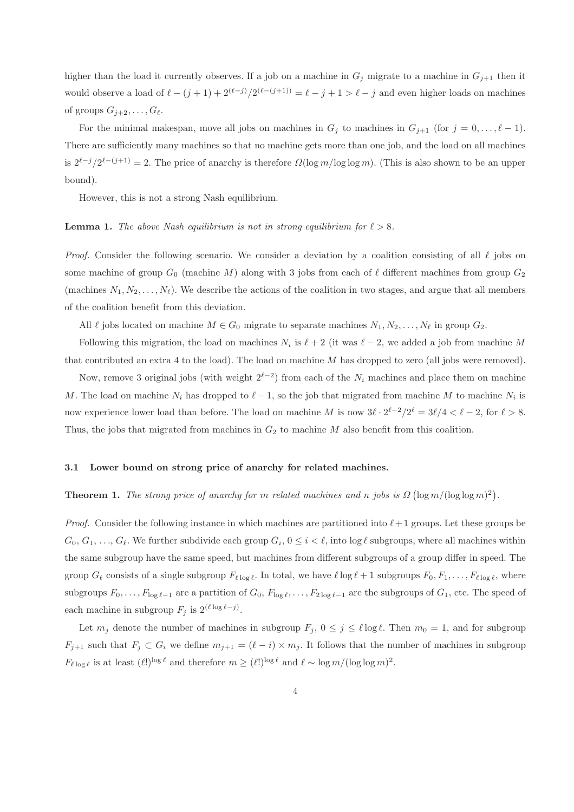higher than the load it currently observes. If a job on a machine in  $G_j$  migrate to a machine in  $G_{j+1}$  then it would observe a load of  $\ell-(j+1)+2^{(\ell-j)}/2^{(\ell-(j+1))}=\ell-j+1>\ell-j$  and even higher loads on machines of groups  $G_{i+2}, \ldots, G_{\ell}$ .

For the minimal makespan, move all jobs on machines in  $G_j$  to machines in  $G_{j+1}$  (for  $j = 0, \ldots, \ell - 1$ ). There are sufficiently many machines so that no machine gets more than one job, and the load on all machines is  $2^{\ell-j}/2^{\ell-(j+1)} = 2$ . The price of anarchy is therefore  $\Omega(\log m / \log \log m)$ . (This is also shown to be an upper bound).

However, this is not a strong Nash equilibrium.

#### **Lemma 1.** The above Nash equilibrium is not in strong equilibrium for  $\ell > 8$ .

*Proof.* Consider the following scenario. We consider a deviation by a coalition consisting of all  $\ell$  jobs on some machine of group  $G_0$  (machine M) along with 3 jobs from each of  $\ell$  different machines from group  $G_2$ (machines  $N_1, N_2, \ldots, N_\ell$ ). We describe the actions of the coalition in two stages, and argue that all members of the coalition benefit from this deviation.

All  $\ell$  jobs located on machine  $M \in G_0$  migrate to separate machines  $N_1, N_2, \ldots, N_\ell$  in group  $G_2$ .

Following this migration, the load on machines  $N_i$  is  $\ell + 2$  (it was  $\ell - 2$ , we added a job from machine M that contributed an extra 4 to the load). The load on machine  $M$  has dropped to zero (all jobs were removed).

Now, remove 3 original jobs (with weight  $2^{\ell-2}$ ) from each of the  $N_i$  machines and place them on machine M. The load on machine  $N_i$  has dropped to  $\ell-1$ , so the job that migrated from machine M to machine  $N_i$  is now experience lower load than before. The load on machine M is now  $3\ell \cdot 2^{\ell-2}/2^{\ell} = 3\ell/4 < \ell - 2$ , for  $\ell > 8$ . Thus, the jobs that migrated from machines in  $G_2$  to machine M also benefit from this coalition.

#### 3.1 Lower bound on strong price of anarchy for related machines.

## **Theorem 1.** The strong price of anarchy for m related machines and n jobs is  $\Omega(\log m/(\log \log m)^2)$ .

*Proof.* Consider the following instance in which machines are partitioned into  $\ell+1$  groups. Let these groups be  $G_0, G_1, \ldots, G_\ell$ . We further subdivide each group  $G_i, 0 \leq i \leq \ell$ , into  $\log \ell$  subgroups, where all machines within the same subgroup have the same speed, but machines from different subgroups of a group differ in speed. The group  $G_{\ell}$  consists of a single subgroup  $F_{\ell \log \ell}$ . In total, we have  $\ell \log \ell + 1$  subgroups  $F_0, F_1, \ldots, F_{\ell \log \ell}$ , where subgroups  $F_0, \ldots, F_{\log \ell-1}$  are a partition of  $G_0, F_{\log \ell}, \ldots, F_{2 \log \ell-1}$  are the subgroups of  $G_1$ , etc. The speed of each machine in subgroup  $F_j$  is  $2^{(\ell \log \ell - j)}$ .

Let  $m_j$  denote the number of machines in subgroup  $F_j$ ,  $0 \le j \le \ell \log \ell$ . Then  $m_0 = 1$ , and for subgroup  $F_{j+1}$  such that  $F_j \subset G_i$  we define  $m_{j+1} = (\ell - i) \times m_j$ . It follows that the number of machines in subgroup  $F_{\ell \log \ell}$  is at least  $(\ell!)^{\log \ell}$  and therefore  $m \geq (\ell!)^{\log \ell}$  and  $\ell \sim \log m/(\log \log m)^2$ .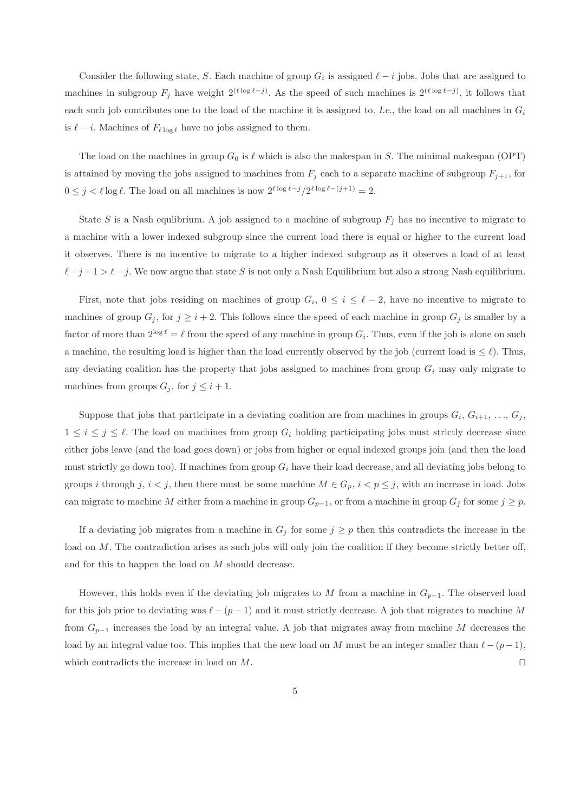Consider the following state, S. Each machine of group  $G_i$  is assigned  $\ell - i$  jobs. Jobs that are assigned to machines in subgroup  $F_j$  have weight  $2^{(\ell \log \ell - j)}$ . As the speed of such machines is  $2^{(\ell \log \ell - j)}$ , it follows that each such job contributes one to the load of the machine it is assigned to. I.e., the load on all machines in  $G_i$ is  $\ell - i$ . Machines of  $F_{\ell \log \ell}$  have no jobs assigned to them.

The load on the machines in group  $G_0$  is  $\ell$  which is also the makespan in S. The minimal makespan (OPT) is attained by moving the jobs assigned to machines from  $F_j$  each to a separate machine of subgroup  $F_{j+1}$ , for  $0 \leq j < \ell \log \ell$ . The load on all machines is now  $2^{\ell \log \ell - j} / 2^{\ell \log \ell - (j+1)} = 2$ .

State S is a Nash equlibrium. A job assigned to a machine of subgroup  $F_j$  has no incentive to migrate to a machine with a lower indexed subgroup since the current load there is equal or higher to the current load it observes. There is no incentive to migrate to a higher indexed subgroup as it observes a load of at least  $\ell - j + 1 > \ell - j$ . We now argue that state S is not only a Nash Equilibrium but also a strong Nash equilibrium.

First, note that jobs residing on machines of group  $G_i$ ,  $0 \leq i \leq \ell - 2$ , have no incentive to migrate to machines of group  $G_j$ , for  $j \geq i+2$ . This follows since the speed of each machine in group  $G_j$  is smaller by a factor of more than  $2^{\log \ell} = \ell$  from the speed of any machine in group  $G_i$ . Thus, even if the job is alone on such a machine, the resulting load is higher than the load currently observed by the job (current load is  $\leq \ell$ ). Thus, any deviating coalition has the property that jobs assigned to machines from group  $G_i$  may only migrate to machines from groups  $G_j$ , for  $j \leq i+1$ .

Suppose that jobs that participate in a deviating coalition are from machines in groups  $G_i, G_{i+1}, \ldots, G_j$ ,  $1 \leq i \leq j \leq \ell$ . The load on machines from group  $G_i$  holding participating jobs must strictly decrease since either jobs leave (and the load goes down) or jobs from higher or equal indexed groups join (and then the load must strictly go down too). If machines from group  $G_i$  have their load decrease, and all deviating jobs belong to groups i through j,  $i < j$ , then there must be some machine  $M \in G_p$ ,  $i < p \le j$ , with an increase in load. Jobs can migrate to machine M either from a machine in group  $G_{p-1}$ , or from a machine in group  $G_j$  for some  $j \geq p$ .

If a deviating job migrates from a machine in  $G_j$  for some  $j \geq p$  then this contradicts the increase in the load on M. The contradiction arises as such jobs will only join the coalition if they become strictly better off, and for this to happen the load on M should decrease.

However, this holds even if the deviating job migrates to M from a machine in  $G_{p-1}$ . The observed load for this job prior to deviating was  $\ell - (p-1)$  and it must strictly decrease. A job that migrates to machine M from  $G_{p-1}$  increases the load by an integral value. A job that migrates away from machine M decreases the load by an integral value too. This implies that the new load on M must be an integer smaller than  $\ell-(p-1)$ , which contradicts the increase in load on M. □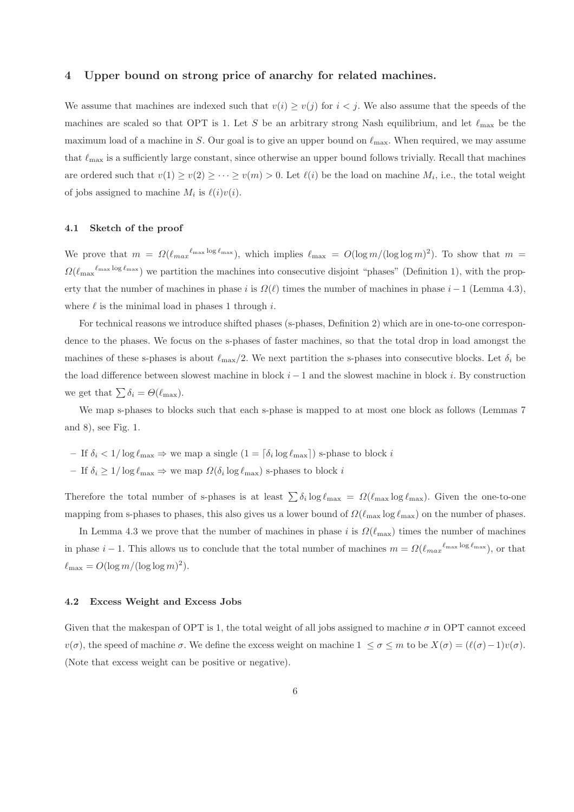## 4 Upper bound on strong price of anarchy for related machines.

We assume that machines are indexed such that  $v(i) \ge v(j)$  for  $i < j$ . We also assume that the speeds of the machines are scaled so that OPT is 1. Let S be an arbitrary strong Nash equilibrium, and let  $\ell_{\rm max}$  be the maximum load of a machine in S. Our goal is to give an upper bound on  $\ell_{\text{max}}$ . When required, we may assume that  $\ell_{\text{max}}$  is a sufficiently large constant, since otherwise an upper bound follows trivially. Recall that machines are ordered such that  $v(1) \ge v(2) \ge \cdots \ge v(m) > 0$ . Let  $\ell(i)$  be the load on machine  $M_i$ , i.e., the total weight of jobs assigned to machine  $M_i$  is  $\ell(i)v(i)$ .

## 4.1 Sketch of the proof

We prove that  $m = \Omega(\ell_{max}^{\ell_{max} \log \ell_{max}})$ , which implies  $\ell_{max} = O(\log m/(\log \log m)^2)$ . To show that  $m =$  $\Omega(\ell_{\max}^{\ell_{\max} \log \ell_{\max}})$  we partition the machines into consecutive disjoint "phases" (Definition 1), with the property that the number of machines in phase i is  $\Omega(\ell)$  times the number of machines in phase i – 1 (Lemma 4.3), where  $\ell$  is the minimal load in phases 1 through i.

For technical reasons we introduce shifted phases (s-phases, Definition 2) which are in one-to-one correspondence to the phases. We focus on the s-phases of faster machines, so that the total drop in load amongst the machines of these s-phases is about  $\ell_{\rm max}/2$ . We next partition the s-phases into consecutive blocks. Let  $\delta_i$  be the load difference between slowest machine in block  $i - 1$  and the slowest machine in block i. By construction we get that  $\sum \delta_i = \Theta(\ell_{\max}).$ 

We map s-phases to blocks such that each s-phase is mapped to at most one block as follows (Lemmas 7 and 8), see Fig. 1.

- If  $\delta_i < 1/\log \ell_{\max} \Rightarrow$  we map a single  $(1 \lceil \delta_i \log \ell_{\max} \rceil)$  s-phase to block i
- $-$  If  $\delta_i \geq 1/\log \ell_{\max} \Rightarrow$  we map  $\Omega(\delta_i \log \ell_{\max})$  s-phases to block i

Therefore the total number of s-phases is at least  $\sum \delta_i \log \ell_{\max} = \Omega(\ell_{\max} \log \ell_{\max})$ . Given the one-to-one mapping from s-phases to phases, this also gives us a lower bound of  $\Omega(\ell_{\text{max}} \log \ell_{\text{max}})$  on the number of phases.

In Lemma 4.3 we prove that the number of machines in phase i is  $\Omega(\ell_{\text{max}})$  times the number of machines in phase  $i-1$ . This allows us to conclude that the total number of machines  $m = \Omega(\ell_{max}^{\ell_{max} \log \ell_{max}})$ , or that  $\ell_{\text{max}} = O(\log m / (\log \log m)^2).$ 

#### 4.2 Excess Weight and Excess Jobs

Given that the makespan of OPT is 1, the total weight of all jobs assigned to machine  $\sigma$  in OPT cannot exceed  $v(\sigma)$ , the speed of machine  $\sigma$ . We define the excess weight on machine  $1 \leq \sigma \leq m$  to be  $X(\sigma) = (\ell(\sigma)-1)v(\sigma)$ . (Note that excess weight can be positive or negative).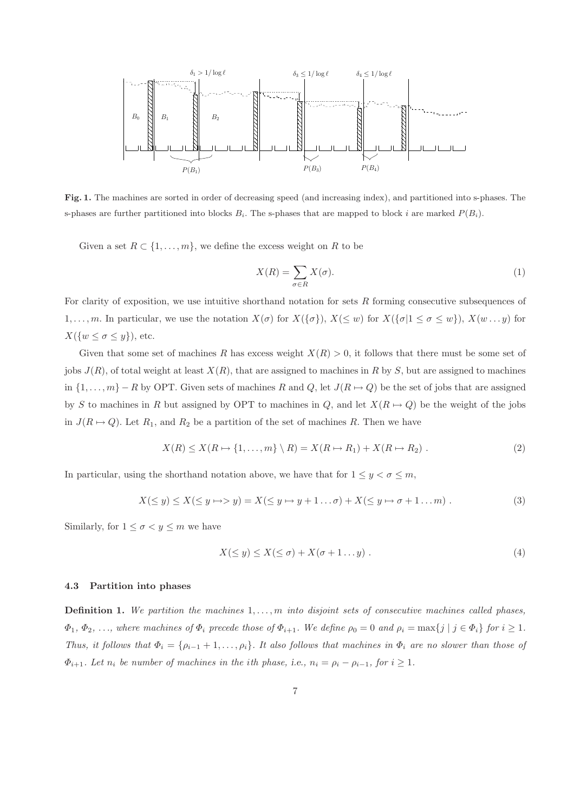

Fig. 1. The machines are sorted in order of decreasing speed (and increasing index), and partitioned into s-phases. The s-phases are further partitioned into blocks  $B_i$ . The s-phases that are mapped to block i are marked  $P(B_i)$ .

Given a set  $R \subset \{1, \ldots, m\}$ , we define the excess weight on R to be

$$
X(R) = \sum_{\sigma \in R} X(\sigma). \tag{1}
$$

For clarity of exposition, we use intuitive shorthand notation for sets  $R$  forming consecutive subsequences of 1,..., m. In particular, we use the notation  $X(\sigma)$  for  $X(\{\sigma\})$ ,  $X(\leq w)$  for  $X(\{\sigma | 1 \leq \sigma \leq w\})$ ,  $X(w...y)$  for  $X({w \leq \sigma \leq y})$ , etc.

Given that some set of machines R has excess weight  $X(R) > 0$ , it follows that there must be some set of jobs  $J(R)$ , of total weight at least  $X(R)$ , that are assigned to machines in R by S, but are assigned to machines in  $\{1,\ldots,m\}$  – R by OPT. Given sets of machines R and Q, let  $J(R \mapsto Q)$  be the set of jobs that are assigned by S to machines in R but assigned by OPT to machines in Q, and let  $X(R \mapsto Q)$  be the weight of the jobs in  $J(R \mapsto Q)$ . Let  $R_1$ , and  $R_2$  be a partition of the set of machines R. Then we have

$$
X(R) \le X(R \mapsto \{1, \dots, m\} \setminus R) = X(R \mapsto R_1) + X(R \mapsto R_2) . \tag{2}
$$

In particular, using the shorthand notation above, we have that for  $1 \leq y < \sigma \leq m$ ,

$$
X(\leq y) \leq X(\leq y \mapsto y) = X(\leq y \mapsto y + 1 \dots \sigma) + X(\leq y \mapsto \sigma + 1 \dots m) . \tag{3}
$$

Similarly, for  $1 \leq \sigma < y \leq m$  we have

$$
X(\leq y) \leq X(\leq \sigma) + X(\sigma + 1 \dots y) \tag{4}
$$

#### 4.3 Partition into phases

**Definition 1.** We partition the machines  $1, \ldots, m$  into disjoint sets of consecutive machines called phases,  $\Phi_1, \Phi_2, \ldots$ , where machines of  $\Phi_i$  precede those of  $\Phi_{i+1}$ . We define  $\rho_0 = 0$  and  $\rho_i = \max\{j \mid j \in \Phi_i\}$  for  $i \geq 1$ . Thus, it follows that  $\Phi_i = \{\rho_{i-1}+1,\ldots,\rho_i\}$ . It also follows that machines in  $\Phi_i$  are no slower than those of  $\Phi_{i+1}$ . Let  $n_i$  be number of machines in the ith phase, i.e.,  $n_i = \rho_i - \rho_{i-1}$ , for  $i \geq 1$ .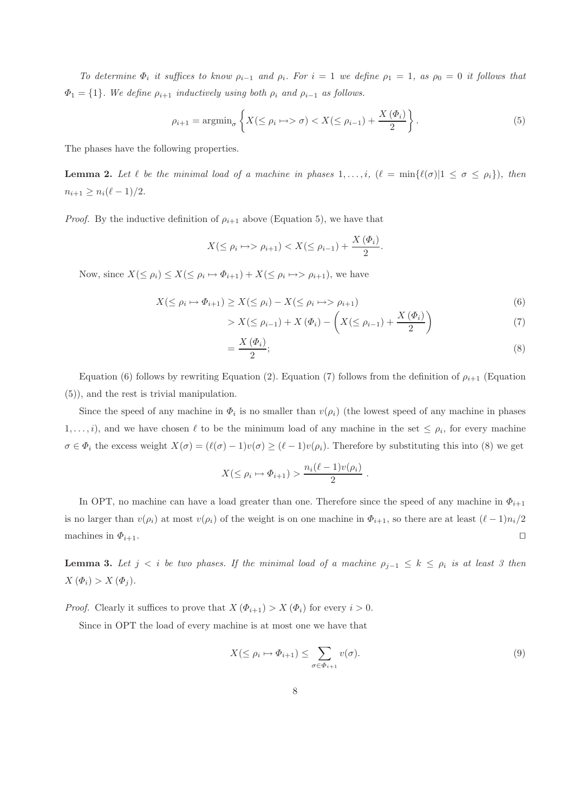To determine  $\Phi_i$  it suffices to know  $\rho_{i-1}$  and  $\rho_i$ . For  $i = 1$  we define  $\rho_1 = 1$ , as  $\rho_0 = 0$  it follows that  $\Phi_1 = \{1\}$ . We define  $\rho_{i+1}$  inductively using both  $\rho_i$  and  $\rho_{i-1}$  as follows.

$$
\rho_{i+1} = \operatorname{argmin}_{\sigma} \left\{ X(\leq \rho_i \mapsto \sigma) < X(\leq \rho_{i-1}) + \frac{X(\Phi_i)}{2} \right\}.\tag{5}
$$

The phases have the following properties.

**Lemma 2.** Let  $\ell$  be the minimal load of a machine in phases  $1,\ldots,i$ ,  $(\ell = \min{\ell(\sigma)}|1 \leq \sigma \leq \rho_i)$ , then  $n_{i+1} \geq n_i(\ell-1)/2.$ 

*Proof.* By the inductive definition of  $\rho_{i+1}$  above (Equation 5), we have that

$$
X(\leq \rho_i \mapsto \rho_{i+1}) < X(\leq \rho_{i-1}) + \frac{X(\Phi_i)}{2}
$$

Now, since  $X(\leq \rho_i) \leq X(\leq \rho_i \mapsto \Phi_{i+1}) + X(\leq \rho_i \mapsto \rho_{i+1}),$  we have

$$
X(\leq \rho_i \mapsto \Phi_{i+1}) \geq X(\leq \rho_i) - X(\leq \rho_i \mapsto \rho_{i+1})
$$
\n<sup>(6)</sup>

$$
> X(\leq \rho_{i-1}) + X(\Phi_i) - \left(X(\leq \rho_{i-1}) + \frac{X(\Phi_i)}{2}\right) \tag{7}
$$

$$
=\frac{X\left(\Phi_{i}\right)}{2};
$$
\n<sup>(8)</sup>

.

Equation (6) follows by rewriting Equation (2). Equation (7) follows from the definition of  $\rho_{i+1}$  (Equation (5)), and the rest is trivial manipulation.

Since the speed of any machine in  $\Phi_i$  is no smaller than  $v(\rho_i)$  (the lowest speed of any machine in phases  $1, \ldots, i$ , and we have chosen  $\ell$  to be the minimum load of any machine in the set  $\leq \rho_i$ , for every machine  $\sigma \in \Phi_i$  the excess weight  $X(\sigma) = (\ell(\sigma) - 1)v(\sigma) \geq (\ell - 1)v(\rho_i)$ . Therefore by substituting this into (8) we get

$$
X(\leq \rho_i \mapsto \Phi_{i+1}) > \frac{n_i(\ell-1)v(\rho_i)}{2}.
$$

In OPT, no machine can have a load greater than one. Therefore since the speed of any machine in  $\Phi_{i+1}$ is no larger than  $v(\rho_i)$  at most  $v(\rho_i)$  of the weight is on one machine in  $\Phi_{i+1}$ , so there are at least  $(\ell-1)n_i/2$ machines in  $\Phi_{i+1}$ . □

**Lemma 3.** Let  $j < i$  be two phases. If the minimal load of a machine  $\rho_{j-1} \leq k \leq \rho_i$  is at least 3 then  $X(\Phi_i) > X(\Phi_j).$ 

*Proof.* Clearly it suffices to prove that  $X(\Phi_{i+1}) > X(\Phi_i)$  for every  $i > 0$ .

Since in OPT the load of every machine is at most one we have that

$$
X(\leq \rho_i \mapsto \Phi_{i+1}) \leq \sum_{\sigma \in \Phi_{i+1}} v(\sigma). \tag{9}
$$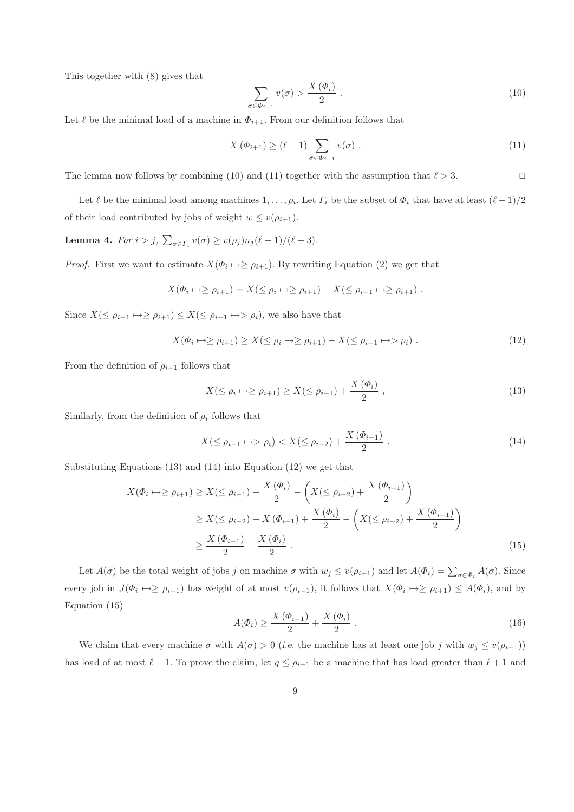This together with (8) gives that

$$
\sum_{\sigma \in \Phi_{i+1}} v(\sigma) > \frac{X(\Phi_i)}{2} \tag{10}
$$

Let  $\ell$  be the minimal load of a machine in  $\Phi_{i+1}$ . From our definition follows that

$$
X(\Phi_{i+1}) \ge (\ell - 1) \sum_{\sigma \in \Phi_{i+1}} v(\sigma) \tag{11}
$$

The lemma now follows by combining (10) and (11) together with the assumption that  $\ell > 3$ . □

Let  $\ell$  be the minimal load among machines  $1, \ldots, \rho_i$ . Let  $\Gamma_i$  be the subset of  $\Phi_i$  that have at least  $(\ell-1)/2$ of their load contributed by jobs of weight  $w \le v(\rho_{i+1})$ .

**Lemma 4.** For  $i > j$ ,  $\sum_{\sigma \in \Gamma_i} v(\sigma) \ge v(\rho_j) n_j(\ell-1)/(\ell+3)$ .

*Proof.* First we want to estimate  $X(\Phi_i \mapsto \geq \rho_{i+1})$ . By rewriting Equation (2) we get that

$$
X(\Phi_i \mapsto \ge \rho_{i+1}) = X(\le \rho_i \mapsto \ge \rho_{i+1}) - X(\le \rho_{i-1} \mapsto \ge \rho_{i+1}).
$$

Since  $X(\leq \rho_{i-1} \mapsto \geq \rho_{i+1}) \leq X(\leq \rho_{i-1} \mapsto \rho_i)$ , we also have that

$$
X(\Phi_i \mapsto \ge \rho_{i+1}) \ge X(\le \rho_i \mapsto \ge \rho_{i+1}) - X(\le \rho_{i-1} \mapsto \rho_i) . \tag{12}
$$

From the definition of  $\rho_{i+1}$  follows that

$$
X(\leq \rho_i \mapsto \geq \rho_{i+1}) \geq X(\leq \rho_{i-1}) + \frac{X(\Phi_i)}{2}, \qquad (13)
$$

Similarly, from the definition of  $\rho_i$  follows that

$$
X(\leq \rho_{i-1} \mapsto \rho_i) < X(\leq \rho_{i-2}) + \frac{X(\Phi_{i-1})}{2} \tag{14}
$$

Substituting Equations (13) and (14) into Equation (12) we get that

$$
X(\Phi_i \to \ge \rho_{i+1}) \ge X(\le \rho_{i-1}) + \frac{X(\Phi_i)}{2} - \left(X(\le \rho_{i-2}) + \frac{X(\Phi_{i-1})}{2}\right)
$$
  

$$
\ge X(\le \rho_{i-2}) + X(\Phi_{i-1}) + \frac{X(\Phi_i)}{2} - \left(X(\le \rho_{i-2}) + \frac{X(\Phi_{i-1})}{2}\right)
$$
  

$$
\ge \frac{X(\Phi_{i-1})}{2} + \frac{X(\Phi_i)}{2}.
$$
 (15)

Let  $A(\sigma)$  be the total weight of jobs j on machine  $\sigma$  with  $w_j \le v(\rho_{i+1})$  and let  $A(\Phi_i) = \sum_{\sigma \in \Phi_i} A(\sigma)$ . Since every job in  $J(\Phi_i \mapsto \ge \rho_{i+1})$  has weight of at most  $v(\rho_{i+1})$ , it follows that  $X(\Phi_i \mapsto \ge \rho_{i+1}) \le A(\Phi_i)$ , and by Equation (15)

$$
A(\varPhi_i) \ge \frac{X(\varPhi_{i-1})}{2} + \frac{X(\varPhi_i)}{2} \,. \tag{16}
$$

We claim that every machine  $\sigma$  with  $A(\sigma) > 0$  (i.e. the machine has at least one job j with  $w_j \le v(\rho_{i+1})$ ) has load of at most  $\ell + 1$ . To prove the claim, let  $q \leq \rho_{i+1}$  be a machine that has load greater than  $\ell + 1$  and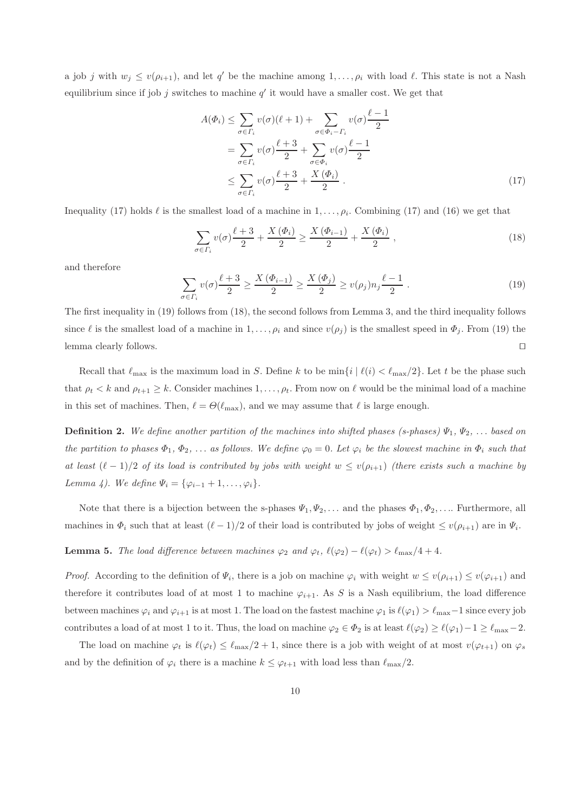a job j with  $w_j \le v(\rho_{i+1})$ , and let q' be the machine among  $1,\ldots,\rho_i$  with load  $\ell$ . This state is not a Nash equilibrium since if job  $j$  switches to machine  $q'$  it would have a smaller cost. We get that

$$
A(\Phi_i) \leq \sum_{\sigma \in \Gamma_i} v(\sigma)(\ell+1) + \sum_{\sigma \in \Phi_i - \Gamma_i} v(\sigma) \frac{\ell-1}{2}
$$
  
= 
$$
\sum_{\sigma \in \Gamma_i} v(\sigma) \frac{\ell+3}{2} + \sum_{\sigma \in \Phi_i} v(\sigma) \frac{\ell-1}{2}
$$
  

$$
\leq \sum_{\sigma \in \Gamma_i} v(\sigma) \frac{\ell+3}{2} + \frac{X(\Phi_i)}{2} .
$$
 (17)

Inequality (17) holds  $\ell$  is the smallest load of a machine in  $1, \ldots, \rho_i$ . Combining (17) and (16) we get that

$$
\sum_{\sigma \in \Gamma_i} v(\sigma) \frac{\ell+3}{2} + \frac{X(\Phi_i)}{2} \ge \frac{X(\Phi_{i-1})}{2} + \frac{X(\Phi_i)}{2} ,\qquad (18)
$$

and therefore

$$
\sum_{\sigma \in \Gamma_i} v(\sigma) \frac{\ell+3}{2} \ge \frac{X(\Phi_{i-1})}{2} \ge \frac{X(\Phi_j)}{2} \ge v(\rho_j) n_j \frac{\ell-1}{2} \tag{19}
$$

The first inequality in (19) follows from (18), the second follows from Lemma 3, and the third inequality follows since  $\ell$  is the smallest load of a machine in  $1, \ldots, \rho_i$  and since  $v(\rho_i)$  is the smallest speed in  $\Phi_i$ . From (19) the lemma clearly follows. ⊓⊔

Recall that  $\ell_{\max}$  is the maximum load in S. Define k to be  $\min\{i \mid \ell(i) < \ell_{\max}/2\}$ . Let t be the phase such that  $\rho_t < k$  and  $\rho_{t+1} \geq k$ . Consider machines  $1, \ldots, \rho_t$ . From now on  $\ell$  would be the minimal load of a machine in this set of machines. Then,  $\ell = \Theta(\ell_{\max})$ , and we may assume that  $\ell$  is large enough.

**Definition 2.** We define another partition of the machines into shifted phases (s-phases)  $\Psi_1, \Psi_2, \ldots$  based on the partition to phases  $\Phi_1, \Phi_2, \ldots$  as follows. We define  $\varphi_0 = 0$ . Let  $\varphi_i$  be the slowest machine in  $\Phi_i$  such that at least  $(\ell-1)/2$  of its load is contributed by jobs with weight  $w \le v(\rho_{i+1})$  (there exists such a machine by Lemma 4). We define  $\Psi_i = {\varphi_{i-1} + 1, \ldots, \varphi_i}.$ 

Note that there is a bijection between the s-phases  $\Psi_1, \Psi_2, \ldots$  and the phases  $\Phi_1, \Phi_2, \ldots$  Furthermore, all machines in  $\Phi_i$  such that at least  $(\ell-1)/2$  of their load is contributed by jobs of weight  $\leq v(\rho_{i+1})$  are in  $\Psi_i$ .

**Lemma 5.** The load difference between machines  $\varphi_2$  and  $\varphi_t$ ,  $\ell(\varphi_2) - \ell(\varphi_t) > \ell_{\max}/4 + 4$ .

*Proof.* According to the definition of  $\Psi_i$ , there is a job on machine  $\varphi_i$  with weight  $w \le v(\rho_{i+1}) \le v(\varphi_{i+1})$  and therefore it contributes load of at most 1 to machine  $\varphi_{i+1}$ . As S is a Nash equilibrium, the load difference between machines  $\varphi_i$  and  $\varphi_{i+1}$  is at most 1. The load on the fastest machine  $\varphi_1$  is  $\ell(\varphi_1) > \ell_{\max} - 1$  since every job contributes a load of at most 1 to it. Thus, the load on machine  $\varphi_2 \in \Phi_2$  is at least  $\ell(\varphi_2) \geq \ell(\varphi_1) - 1 \geq \ell_{\max} - 2$ .

The load on machine  $\varphi_t$  is  $\ell(\varphi_t) \leq \ell_{\max}/2 + 1$ , since there is a job with weight of at most  $v(\varphi_{t+1})$  on  $\varphi_s$ and by the definition of  $\varphi_i$  there is a machine  $k \leq \varphi_{t+1}$  with load less than  $\ell_{\max}/2$ .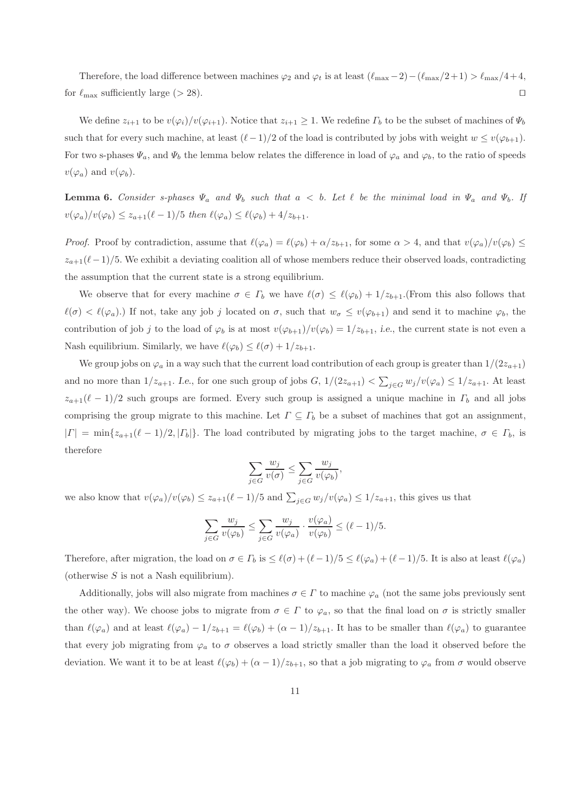Therefore, the load difference between machines  $\varphi_2$  and  $\varphi_t$  is at least  $(\ell_{\max}-2)-(\ell_{\max}/2+1) > \ell_{\max}/4+4$ , for  $\ell_{\text{max}}$  sufficiently large (> 28). □

We define  $z_{i+1}$  to be  $v(\varphi_i)/v(\varphi_{i+1})$ . Notice that  $z_{i+1} \geq 1$ . We redefine  $\Gamma_b$  to be the subset of machines of  $\Psi_b$ such that for every such machine, at least  $(\ell-1)/2$  of the load is contributed by jobs with weight  $w \leq v(\varphi_{b+1})$ . For two s-phases  $\Psi_a$ , and  $\Psi_b$  the lemma below relates the difference in load of  $\varphi_a$  and  $\varphi_b$ , to the ratio of speeds  $v(\varphi_a)$  and  $v(\varphi_b)$ .

**Lemma 6.** Consider s-phases  $\Psi_a$  and  $\Psi_b$  such that  $a < b$ . Let  $\ell$  be the minimal load in  $\Psi_a$  and  $\Psi_b$ . If  $v(\varphi_a)/v(\varphi_b) \leq z_{a+1}(\ell-1)/5$  then  $\ell(\varphi_a) \leq \ell(\varphi_b) + 4/z_{b+1}$ .

*Proof.* Proof by contradiction, assume that  $\ell(\varphi_a) = \ell(\varphi_b) + \alpha/z_{b+1}$ , for some  $\alpha > 4$ , and that  $v(\varphi_a)/v(\varphi_b) \leq$  $z_{a+1}(\ell-1)/5$ . We exhibit a deviating coalition all of whose members reduce their observed loads, contradicting the assumption that the current state is a strong equilibrium.

We observe that for every machine  $\sigma \in \Gamma_b$  we have  $\ell(\sigma) \leq \ell(\varphi_b) + 1/z_{b+1}$ . (From this also follows that  $\ell(\sigma) < \ell(\varphi_a)$ .) If not, take any job j located on  $\sigma$ , such that  $w_{\sigma} \le v(\varphi_{b+1})$  and send it to machine  $\varphi_b$ , the contribution of job j to the load of  $\varphi_b$  is at most  $v(\varphi_{b+1})/v(\varphi_b) = 1/z_{b+1}$ , i.e., the current state is not even a Nash equilibrium. Similarly, we have  $\ell(\varphi_b) \leq \ell(\sigma) + 1/z_{b+1}$ .

We group jobs on  $\varphi_a$  in a way such that the current load contribution of each group is greater than  $1/(2z_{a+1})$ and no more than  $1/z_{a+1}$ . I.e., for one such group of jobs  $G$ ,  $1/(2z_{a+1}) < \sum_{j\in G} w_j/v(\varphi_a) \leq 1/z_{a+1}$ . At least  $z_{a+1}(\ell-1)/2$  such groups are formed. Every such group is assigned a unique machine in  $\Gamma_b$  and all jobs comprising the group migrate to this machine. Let  $\Gamma \subseteq \Gamma_b$  be a subset of machines that got an assignment,  $|\Gamma| = \min\{z_{a+1}(\ell-1)/2, |\Gamma_b|\}.$  The load contributed by migrating jobs to the target machine,  $\sigma \in \Gamma_b$ , is therefore

$$
\sum_{j \in G} \frac{w_j}{v(\sigma)} \le \sum_{j \in G} \frac{w_j}{v(\varphi_b)},
$$

we also know that  $v(\varphi_a)/v(\varphi_b) \leq z_{a+1}(\ell-1)/5$  and  $\sum_{j\in G} w_j/v(\varphi_a) \leq 1/z_{a+1}$ , this gives us that

$$
\sum_{j \in G} \frac{w_j}{v(\varphi_b)} \le \sum_{j \in G} \frac{w_j}{v(\varphi_a)} \cdot \frac{v(\varphi_a)}{v(\varphi_b)} \le (\ell - 1)/5.
$$

Therefore, after migration, the load on  $\sigma \in \Gamma_b$  is  $\leq \ell(\sigma) + (\ell-1)/5 \leq \ell(\varphi_a) + (\ell-1)/5$ . It is also at least  $\ell(\varphi_a)$ (otherwise  $S$  is not a Nash equilibrium).

Additionally, jobs will also migrate from machines  $\sigma \in \Gamma$  to machine  $\varphi_a$  (not the same jobs previously sent the other way). We choose jobs to migrate from  $\sigma \in \Gamma$  to  $\varphi_a$ , so that the final load on  $\sigma$  is strictly smaller than  $\ell(\varphi_a)$  and at least  $\ell(\varphi_a) - 1/z_{b+1} = \ell(\varphi_b) + (\alpha - 1)/z_{b+1}$ . It has to be smaller than  $\ell(\varphi_a)$  to guarantee that every job migrating from  $\varphi_a$  to  $\sigma$  observes a load strictly smaller than the load it observed before the deviation. We want it to be at least  $\ell(\varphi_b) + (\alpha - 1)/z_{b+1}$ , so that a job migrating to  $\varphi_a$  from  $\sigma$  would observe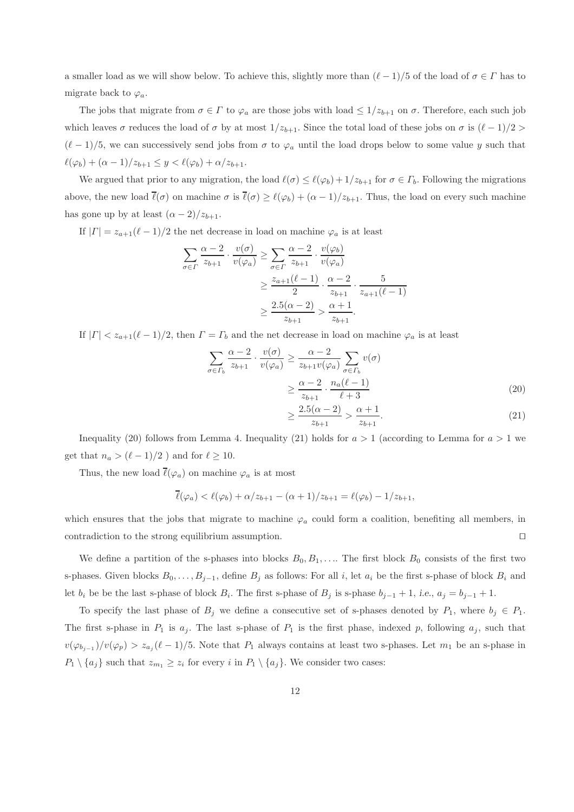a smaller load as we will show below. To achieve this, slightly more than  $(\ell-1)/5$  of the load of  $\sigma \in \Gamma$  has to migrate back to  $\varphi_a$ .

The jobs that migrate from  $\sigma \in \Gamma$  to  $\varphi_a$  are those jobs with load  $\leq 1/z_{b+1}$  on  $\sigma$ . Therefore, each such job which leaves  $\sigma$  reduces the load of  $\sigma$  by at most  $1/z_{b+1}$ . Since the total load of these jobs on  $\sigma$  is  $(\ell-1)/2$  $(\ell-1)/5$ , we can successively send jobs from  $\sigma$  to  $\varphi_a$  until the load drops below to some value y such that  $\ell(\varphi_b) + (\alpha - 1)/z_{b+1} \leq y < \ell(\varphi_b) + \alpha/z_{b+1}.$ 

We argued that prior to any migration, the load  $\ell(\sigma) \leq \ell(\varphi_b) + 1/z_{b+1}$  for  $\sigma \in \Gamma_b$ . Following the migrations above, the new load  $\bar{\ell}(\sigma)$  on machine  $\sigma$  is  $\bar{\ell}(\sigma) \geq \ell(\varphi_b) + (\alpha - 1)/z_{b+1}$ . Thus, the load on every such machine has gone up by at least  $(\alpha - 2)/z_{b+1}$ .

If  $|\Gamma| = z_{a+1}(\ell-1)/2$  the net decrease in load on machine  $\varphi_a$  is at least

$$
\sum_{\sigma \in \Gamma} \frac{\alpha - 2}{z_{b+1}} \cdot \frac{v(\sigma)}{v(\varphi_a)} \ge \sum_{\sigma \in \Gamma} \frac{\alpha - 2}{z_{b+1}} \cdot \frac{v(\varphi_b)}{v(\varphi_a)}
$$

$$
\ge \frac{z_{a+1}(\ell - 1)}{2} \cdot \frac{\alpha - 2}{z_{b+1}} \cdot \frac{5}{z_{a+1}(\ell - 1)}
$$

$$
\ge \frac{2.5(\alpha - 2)}{z_{b+1}} \ge \frac{\alpha + 1}{z_{b+1}}.
$$

If  $|\Gamma| < z_{a+1}(\ell-1)/2$ , then  $\Gamma = \Gamma_b$  and the net decrease in load on machine  $\varphi_a$  is at least

$$
\sum_{\sigma \in \Gamma_b} \frac{\alpha - 2}{z_{b+1}} \cdot \frac{v(\sigma)}{v(\varphi_a)} \ge \frac{\alpha - 2}{z_{b+1}v(\varphi_a)} \sum_{\sigma \in \Gamma_b} v(\sigma)
$$

$$
\ge \frac{\alpha - 2}{z_{b+1}} \cdot \frac{n_a(\ell - 1)}{\ell + 3}
$$
(20)  

$$
\ge \frac{25(\alpha - 2)}{(\alpha - 2)} \cdot \frac{\alpha + 1}{(\alpha + 2)}
$$

$$
\geq \frac{2.5(\alpha - 2)}{z_{b+1}} > \frac{\alpha + 1}{z_{b+1}}.\tag{21}
$$

Inequality (20) follows from Lemma 4. Inequality (21) holds for  $a > 1$  (according to Lemma for  $a > 1$  we get that  $n_a > (\ell - 1)/2$  ) and for  $\ell \geq 10$ .

Thus, the new load  $\overline{\ell}(\varphi_a)$  on machine  $\varphi_a$  is at most

$$
\overline{\ell}(\varphi_a) < \ell(\varphi_b) + \alpha/z_{b+1} - (\alpha+1)/z_{b+1} = \ell(\varphi_b) - 1/z_{b+1},
$$

which ensures that the jobs that migrate to machine  $\varphi_a$  could form a coalition, benefiting all members, in contradiction to the strong equilibrium assumption. ⊓⊔

We define a partition of the s-phases into blocks  $B_0, B_1, \ldots$ . The first block  $B_0$  consists of the first two s-phases. Given blocks  $B_0, \ldots, B_{j-1}$ , define  $B_j$  as follows: For all i, let  $a_i$  be the first s-phase of block  $B_i$  and let  $b_i$  be be the last s-phase of block  $B_i$ . The first s-phase of  $B_j$  is s-phase  $b_{j-1} + 1$ , i.e.,  $a_j = b_{j-1} + 1$ .

To specify the last phase of  $B_j$  we define a consecutive set of s-phases denoted by  $P_1$ , where  $b_j \in P_1$ . The first s-phase in  $P_1$  is  $a_j$ . The last s-phase of  $P_1$  is the first phase, indexed p, following  $a_j$ , such that  $v(\varphi_{b_{j-1}})/v(\varphi_p) > z_{a_j}(\ell-1)/5$ . Note that  $P_1$  always contains at least two s-phases. Let  $m_1$  be an s-phase in  $P_1 \setminus \{a_j\}$  such that  $z_{m_1} \geq z_i$  for every i in  $P_1 \setminus \{a_j\}$ . We consider two cases: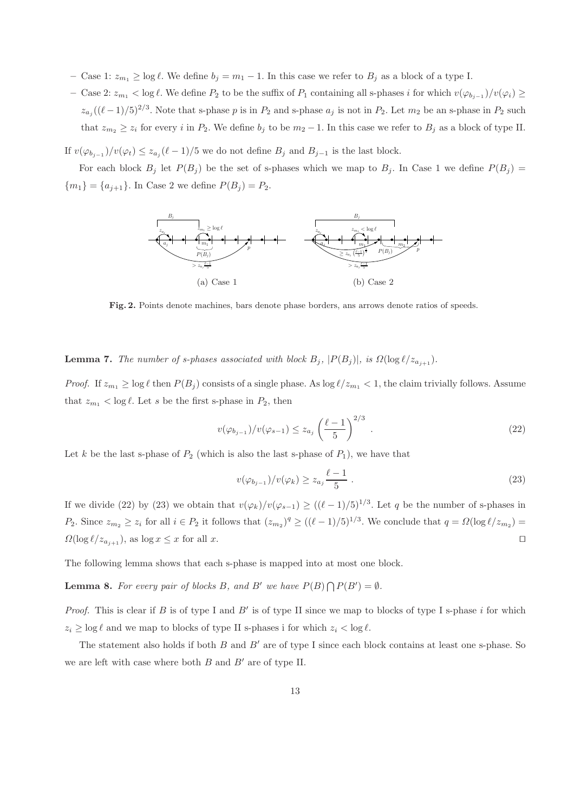- Case 1:  $z_{m_1} \ge \log \ell$ . We define  $b_j = m_1 1$ . In this case we refer to  $B_j$  as a block of a type I.
- $-$  Case 2:  $z_{m_1}$  < log  $\ell$ . We define  $P_2$  to be the suffix of  $P_1$  containing all s-phases i for which  $v(\varphi_{b_{j-1}})/v(\varphi_i)$  ≥  $z_{a_j}((\ell-1)/5)^{2/3}$ . Note that s-phase p is in  $P_2$  and s-phase  $a_j$  is not in  $P_2$ . Let  $m_2$  be an s-phase in  $P_2$  such that  $z_{m_2} \geq z_i$  for every i in  $P_2$ . We define  $b_j$  to be  $m_2 - 1$ . In this case we refer to  $B_j$  as a block of type II.

If  $v(\varphi_{b_{j-1}})/v(\varphi_t) \leq z_{a_j}(\ell-1)/5$  we do not define  $B_j$  and  $B_{j-1}$  is the last block.

For each block  $B_j$  let  $P(B_j)$  be the set of s-phases which we map to  $B_j$ . In Case 1 we define  $P(B_j)$  =  ${m_1} = {a_{j+1}}.$  In Case 2 we define  $P(B_j) = P_2.$ 



Fig. 2. Points denote machines, bars denote phase borders, ans arrows denote ratios of speeds.

**Lemma 7.** The number of s-phases associated with block  $B_j$ ,  $|P(B_j)|$ , is  $\Omega(\log \ell / z_{a_{j+1}})$ .

*Proof.* If  $z_{m_1} \ge \log \ell$  then  $P(B_j)$  consists of a single phase. As  $\log \ell/z_{m_1} < 1$ , the claim trivially follows. Assume that  $z_{m_1} < \log \ell$ . Let s be the first s-phase in  $P_2$ , then

$$
v(\varphi_{b_{j-1}})/v(\varphi_{s-1}) \le z_{a_j} \left(\frac{\ell-1}{5}\right)^{2/3} . \tag{22}
$$

Let k be the last s-phase of  $P_2$  (which is also the last s-phase of  $P_1$ ), we have that

$$
v(\varphi_{b_{j-1}})/v(\varphi_k) \ge z_{a_j} \frac{\ell-1}{5} \ . \tag{23}
$$

If we divide (22) by (23) we obtain that  $v(\varphi_k)/v(\varphi_{s-1}) \ge ((\ell-1)/5)^{1/3}$ . Let q be the number of s-phases in P<sub>2</sub>. Since  $z_{m_2} \geq z_i$  for all  $i \in P_2$  it follows that  $(z_{m_2})^q \geq ((\ell-1)/5)^{1/3}$ . We conclude that  $q = \Omega(\log \ell/z_{m_2}) =$  $\Omega(\log \ell/z_{a_{i+1}})$ , as  $\log x \leq x$  for all x. □

The following lemma shows that each s-phase is mapped into at most one block.

**Lemma 8.** For every pair of blocks B, and B' we have  $P(B) \bigcap P(B') = \emptyset$ .

*Proof.* This is clear if B is of type I and B' is of type II since we map to blocks of type I s-phase  $i$  for which  $z_i \geq \log \ell$  and we map to blocks of type II s-phases i for which  $z_i < \log \ell$ .

The statement also holds if both  $B$  and  $B'$  are of type I since each block contains at least one s-phase. So we are left with case where both  $B$  and  $B'$  are of type II.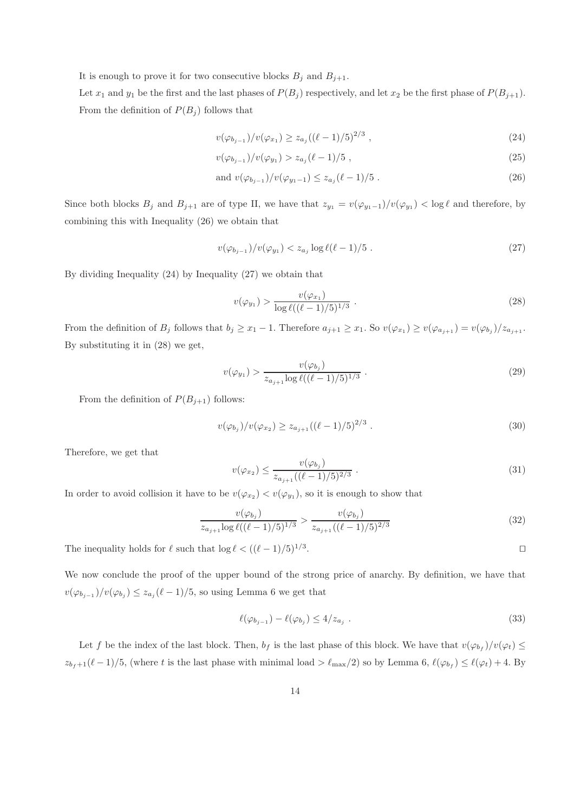It is enough to prove it for two consecutive blocks  $B_j$  and  $B_{j+1}$ .

Let  $x_1$  and  $y_1$  be the first and the last phases of  $P(B_j)$  respectively, and let  $x_2$  be the first phase of  $P(B_{j+1})$ . From the definition of  $P(B_i)$  follows that

$$
v(\varphi_{b_{j-1}})/v(\varphi_{x_1}) \ge z_{a_j}((\ell-1)/5)^{2/3}, \qquad (24)
$$

$$
v(\varphi_{b_{j-1}})/v(\varphi_{y_1}) > z_{a_j}(\ell-1)/5 , \qquad (25)
$$

and 
$$
v(\varphi_{b_{j-1}})/v(\varphi_{y_1-1}) \le z_{a_j}(\ell-1)/5
$$
. (26)

Since both blocks  $B_j$  and  $B_{j+1}$  are of type II, we have that  $z_{y_1} = v(\varphi_{y_1-1})/v(\varphi_{y_1}) < \log \ell$  and therefore, by combining this with Inequality (26) we obtain that

$$
v(\varphi_{b_{j-1}})/v(\varphi_{y_1}) < z_{a_j} \log \ell(\ell-1)/5 \tag{27}
$$

By dividing Inequality (24) by Inequality (27) we obtain that

$$
v(\varphi_{y_1}) > \frac{v(\varphi_{x_1})}{\log \ell((\ell - 1)/5)^{1/3}} \ . \tag{28}
$$

From the definition of  $B_j$  follows that  $b_j \geq x_1 - 1$ . Therefore  $a_{j+1} \geq x_1$ . So  $v(\varphi_{x_1}) \geq v(\varphi_{a_{j+1}}) = v(\varphi_{b_j})/z_{a_{j+1}}$ . By substituting it in (28) we get,

$$
v(\varphi_{y_1}) > \frac{v(\varphi_{b_j})}{z_{a_{j+1}} \log \ell((\ell-1)/5)^{1/3}}.
$$
\n(29)

From the definition of  $P(B_{j+1})$  follows:

$$
v(\varphi_{b_j})/v(\varphi_{x_2}) \ge z_{a_{j+1}}((\ell-1)/5)^{2/3} . \tag{30}
$$

Therefore, we get that

$$
v(\varphi_{x_2}) \le \frac{v(\varphi_{b_j})}{z_{a_{j+1}}((\ell-1)/5)^{2/3}} \ . \tag{31}
$$

In order to avoid collision it have to be  $v(\varphi_{x_2}) \langle v(\varphi_{y_1}),$  so it is enough to show that

$$
\frac{v(\varphi_{b_j})}{z_{a_{j+1}} \log \ell((\ell-1)/5)^{1/3}} > \frac{v(\varphi_{b_j})}{z_{a_{j+1}}((\ell-1)/5)^{2/3}} \tag{32}
$$

The inequality holds for  $\ell$  such that  $\log \ell < ((\ell - 1)/5)^{1/3}$ .

We now conclude the proof of the upper bound of the strong price of anarchy. By definition, we have that  $v(\varphi_{b_{j-1}})/v(\varphi_{b_j}) \leq z_{a_j}(\ell-1)/5$ , so using Lemma 6 we get that

$$
\ell(\varphi_{b_{j-1}}) - \ell(\varphi_{b_j}) \le 4/z_{a_j} . \tag{33}
$$

. ⊓⊔

Let f be the index of the last block. Then,  $b_f$  is the last phase of this block. We have that  $v(\varphi_{b_f})/v(\varphi_t) \le$  $z_{b_f+1}(\ell-1)/5$ , (where t is the last phase with minimal load  $\geq \ell_{\max}/2$ ) so by Lemma 6,  $\ell(\varphi_{b_f}) \leq \ell(\varphi_t) + 4$ . By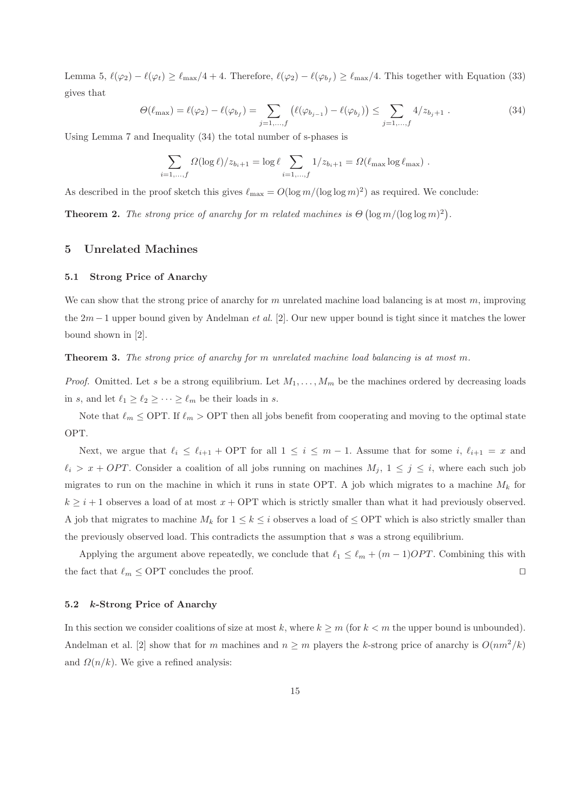Lemma 5,  $\ell(\varphi_2) - \ell(\varphi_t) \geq \ell_{\max}/4 + 4$ . Therefore,  $\ell(\varphi_2) - \ell(\varphi_{b_f}) \geq \ell_{\max}/4$ . This together with Equation (33) gives that

$$
\Theta(\ell_{\max}) = \ell(\varphi_2) - \ell(\varphi_{b_f}) = \sum_{j=1,\dots,f} (\ell(\varphi_{b_{j-1}}) - \ell(\varphi_{b_j})) \le \sum_{j=1,\dots,f} 4/z_{b_j+1} . \tag{34}
$$

Using Lemma 7 and Inequality (34) the total number of s-phases is

$$
\sum_{i=1,\dots,f} \Omega(\log \ell)/z_{b_i+1} = \log \ell \sum_{i=1,\dots,f} 1/z_{b_i+1} = \Omega(\ell_{\max} \log \ell_{\max}).
$$

As described in the proof sketch this gives  $\ell_{\text{max}} = O(\log m/(\log \log m)^2)$  as required. We conclude:

**Theorem 2.** The strong price of anarchy for m related machines is  $\Theta(\log m/(\log \log m)^2)$ .

## 5 Unrelated Machines

#### 5.1 Strong Price of Anarchy

We can show that the strong price of anarchy for  $m$  unrelated machine load balancing is at most  $m$ , improving the  $2m-1$  upper bound given by Andelman *et al.* [2]. Our new upper bound is tight since it matches the lower bound shown in [2].

**Theorem 3.** The strong price of anarchy for m unrelated machine load balancing is at most m.

*Proof.* Omitted. Let s be a strong equilibrium. Let  $M_1, \ldots, M_m$  be the machines ordered by decreasing loads in s, and let  $\ell_1 \geq \ell_2 \geq \cdots \geq \ell_m$  be their loads in s.

Note that  $\ell_m \leq \text{OPT}$ . If  $\ell_m > \text{OPT}$  then all jobs benefit from cooperating and moving to the optimal state OPT.

Next, we argue that  $\ell_i \leq \ell_{i+1}$  + OPT for all  $1 \leq i \leq m-1$ . Assume that for some i,  $\ell_{i+1} = x$  and  $\ell_i > x + OPT$ . Consider a coalition of all jobs running on machines  $M_j$ ,  $1 \leq j \leq i$ , where each such job migrates to run on the machine in which it runs in state OPT. A job which migrates to a machine  $M_k$  for  $k \geq i + 1$  observes a load of at most  $x + \text{OPT}$  which is strictly smaller than what it had previously observed. A job that migrates to machine  $M_k$  for  $1 \leq k \leq i$  observes a load of  $\leq$  OPT which is also strictly smaller than the previously observed load. This contradicts the assumption that s was a strong equilibrium.

Applying the argument above repeatedly, we conclude that  $\ell_1 \leq \ell_m + (m-1)OPT$ . Combining this with the fact that  $\ell_m \leq$  OPT concludes the proof. □

#### 5.2 k-Strong Price of Anarchy

In this section we consider coalitions of size at most k, where  $k \geq m$  (for  $k < m$  the upper bound is unbounded). Andelman et al. [2] show that for m machines and  $n \geq m$  players the k-strong price of anarchy is  $O(nm^2/k)$ and  $\Omega(n/k)$ . We give a refined analysis: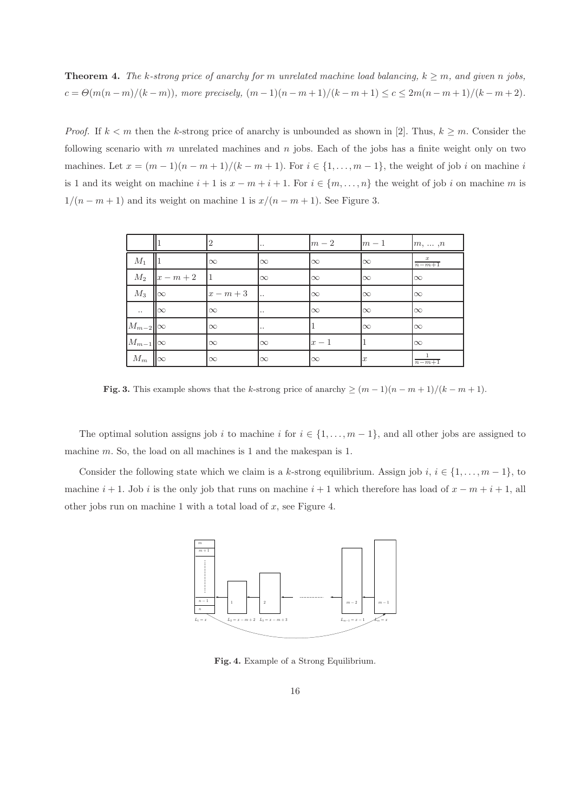**Theorem 4.** The k-strong price of anarchy for m unrelated machine load balancing,  $k \geq m$ , and given n jobs,  $c = \Theta(m(n-m)/(k-m))$ , more precisely,  $(m-1)(n-m+1)/(k-m+1) \leq c \leq 2m(n-m+1)/(k-m+2)$ .

*Proof.* If  $k < m$  then the k-strong price of anarchy is unbounded as shown in [2]. Thus,  $k \ge m$ . Consider the following scenario with m unrelated machines and n jobs. Each of the jobs has a finite weight only on two machines. Let  $x = (m-1)(n-m+1)/(k-m+1)$ . For  $i \in \{1, ..., m-1\}$ , the weight of job i on machine i is 1 and its weight on machine  $i + 1$  is  $x - m + i + 1$ . For  $i \in \{m, ..., n\}$  the weight of job i on machine m is  $1/(n-m+1)$  and its weight on machine 1 is  $x/(n-m+1)$ . See Figure 3.

|                    |                     | 2        | ٠.       | $m-2$    | $m-1$            | $m, \ldots, n$    |
|--------------------|---------------------|----------|----------|----------|------------------|-------------------|
| $M_1$              |                     | $\infty$ | $\infty$ | $\infty$ | $\infty$         | $\frac{x}{n-m+1}$ |
|                    | $M_2$ $ x - m + 2 $ | -11      | $\infty$ | $\infty$ | $\infty$         | $\infty$          |
| $M_3$              | $\infty$            | $x-m+3$  | ۱.,      | $\infty$ | $\infty$         | $\infty$          |
| $\ldots$           | $\infty$            | $\infty$ | ٠.       | $\infty$ | $\infty$         | $\infty$          |
| $M_{m-2}$ $\infty$ |                     | $\infty$ | ٠.       |          | $\infty$         | $\infty$          |
| $M_{m-1}$ $\infty$ |                     | $\infty$ | $\infty$ | $x-1$    |                  | $\infty$          |
| $M_m$   $\infty$   |                     | $\infty$ | $\infty$ | $\infty$ | $\boldsymbol{x}$ | $n-m+1$           |

Fig. 3. This example shows that the k-strong price of anarchy  $\geq (m-1)(n-m+1)/(k-m+1)$ .

The optimal solution assigns job i to machine i for  $i \in \{1, \ldots, m-1\}$ , and all other jobs are assigned to machine m. So, the load on all machines is 1 and the makespan is 1.

Consider the following state which we claim is a k-strong equilibrium. Assign job i,  $i \in \{1, \ldots, m-1\}$ , to machine  $i + 1$ . Job i is the only job that runs on machine  $i + 1$  which therefore has load of  $x - m + i + 1$ , all other jobs run on machine 1 with a total load of  $x$ , see Figure 4.



Fig. 4. Example of a Strong Equilibrium.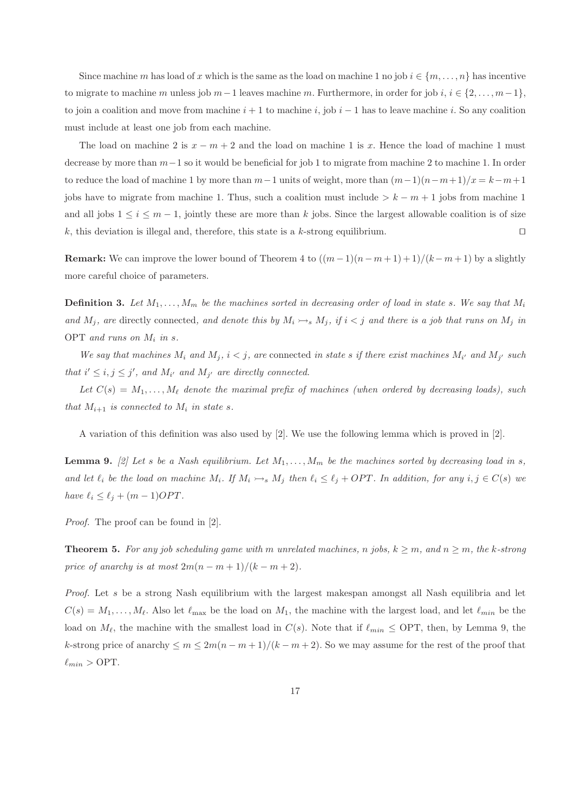Since machine m has load of x which is the same as the load on machine 1 no job  $i \in \{m, \ldots, n\}$  has incentive to migrate to machine m unless job m−1 leaves machine m. Furthermore, in order for job i,  $i \in \{2, \ldots, m-1\}$ , to join a coalition and move from machine  $i + 1$  to machine i, job  $i - 1$  has to leave machine i. So any coalition must include at least one job from each machine.

The load on machine 2 is  $x - m + 2$  and the load on machine 1 is x. Hence the load of machine 1 must decrease by more than m−1 so it would be beneficial for job 1 to migrate from machine 2 to machine 1. In order to reduce the load of machine 1 by more than  $m-1$  units of weight, more than  $(m-1)(n-m+1)/x = k-m+1$ jobs have to migrate from machine 1. Thus, such a coalition must include  $> k - m + 1$  jobs from machine 1 and all jobs  $1 \le i \le m-1$ , jointly these are more than k jobs. Since the largest allowable coalition is of size k, this deviation is illegal and, therefore, this state is a k-strong equilibrium. □

**Remark:** We can improve the lower bound of Theorem 4 to  $((m-1)(n-m+1)+1)/(k-m+1)$  by a slightly more careful choice of parameters.

**Definition 3.** Let  $M_1, \ldots, M_m$  be the machines sorted in decreasing order of load in state s. We say that  $M_i$ and  $M_j$ , are directly connected, and denote this by  $M_i \rightarrow_s M_j$ , if  $i < j$  and there is a job that runs on  $M_j$  in OPT and runs on  $M_i$  in s.

We say that machines  $M_i$  and  $M_j$ ,  $i < j$ , are connected in state s if there exist machines  $M_{i'}$  and  $M_{j'}$  such that  $i' \leq i, j \leq j'$ , and  $M_{i'}$  and  $M_{j'}$  are directly connected.

Let  $C(s) = M_1, \ldots, M_\ell$  denote the maximal prefix of machines (when ordered by decreasing loads), such that  $M_{i+1}$  is connected to  $M_i$  in state s.

A variation of this definition was also used by [2]. We use the following lemma which is proved in [2].

**Lemma 9.** [2] Let s be a Nash equilibrium. Let  $M_1, \ldots, M_m$  be the machines sorted by decreasing load in s, and let  $\ell_i$  be the load on machine  $M_i$ . If  $M_i \rightarrow_s M_j$  then  $\ell_i \leq \ell_j + OPT$ . In addition, for any  $i, j \in C(s)$  we have  $\ell_i \leq \ell_j + (m-1)OPT$ .

Proof. The proof can be found in [2].

**Theorem 5.** For any job scheduling game with m unrelated machines, n jobs,  $k \ge m$ , and  $n \ge m$ , the k-strong price of anarchy is at most  $2m(n-m+1)/(k-m+2)$ .

Proof. Let s be a strong Nash equilibrium with the largest makespan amongst all Nash equilibria and let  $C(s) = M_1, \ldots, M_\ell$ . Also let  $\ell_{\text{max}}$  be the load on  $M_1$ , the machine with the largest load, and let  $\ell_{min}$  be the load on  $M_{\ell}$ , the machine with the smallest load in  $C(s)$ . Note that if  $\ell_{min} \leq \text{OPT}$ , then, by Lemma 9, the k-strong price of anarchy  $\leq m \leq 2m(n-m+1)/(k-m+2)$ . So we may assume for the rest of the proof that  $\ell_{min} >$  OPT.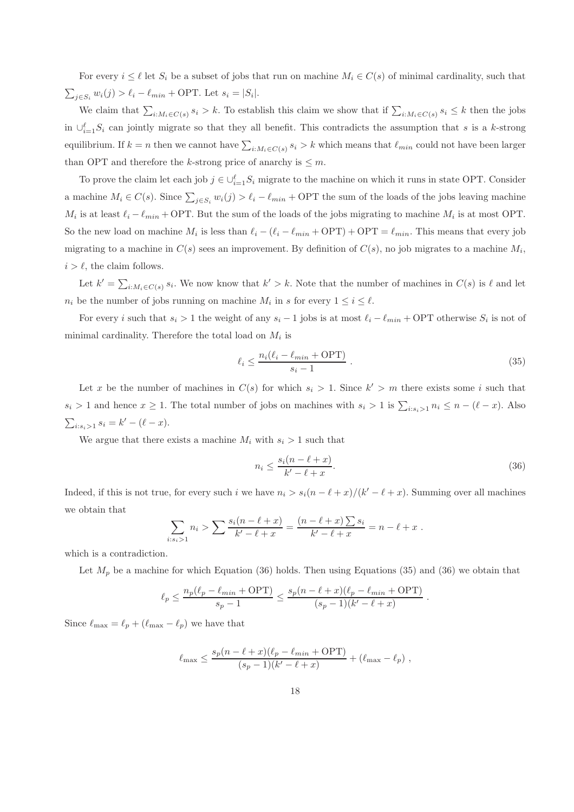For every  $i \leq \ell$  let  $S_i$  be a subset of jobs that run on machine  $M_i \in C(s)$  of minimal cardinality, such that  $\sum_{j \in S_i} w_i(j) > \ell_i - \ell_{min} + \text{OPT}$ . Let  $s_i = |S_i|$ .

We claim that  $\sum_{i:M_i\in C(s)} s_i > k$ . To establish this claim we show that if  $\sum_{i:M_i\in C(s)} s_i \leq k$  then the jobs in  $\cup_{i=1}^{\ell} S_i$  can jointly migrate so that they all benefit. This contradicts the assumption that s is a k-strong equilibrium. If  $k = n$  then we cannot have  $\sum_{i:M_i \in C(s)} s_i > k$  which means that  $\ell_{min}$  could not have been larger than OPT and therefore the k-strong price of anarchy is  $\leq m$ .

To prove the claim let each job  $j \in \bigcup_{i=1}^{\ell} S_i$  migrate to the machine on which it runs in state OPT. Consider a machine  $M_i \in C(s)$ . Since  $\sum_{j \in S_i} w_i(j) > \ell_i - \ell_{min} + \text{OPT}$  the sum of the loads of the jobs leaving machine  $M_i$  is at least  $\ell_i - \ell_{min} + \text{OPT}$ . But the sum of the loads of the jobs migrating to machine  $M_i$  is at most OPT. So the new load on machine  $M_i$  is less than  $\ell_i - (\ell_i - \ell_{min} + \text{OPT}) + \text{OPT} = \ell_{min}$ . This means that every job migrating to a machine in  $C(s)$  sees an improvement. By definition of  $C(s)$ , no job migrates to a machine  $M_i$ ,  $i > \ell$ , the claim follows.

Let  $k' = \sum_{i:M_i \in C(s)} s_i$ . We now know that  $k' > k$ . Note that the number of machines in  $C(s)$  is  $\ell$  and let  $n_i$  be the number of jobs running on machine  $M_i$  in s for every  $1 \leq i \leq \ell$ .

For every i such that  $s_i > 1$  the weight of any  $s_i - 1$  jobs is at most  $\ell_i - \ell_{min} + \text{OPT}$  otherwise  $S_i$  is not of minimal cardinality. Therefore the total load on  $M_i$  is

$$
\ell_i \le \frac{n_i(\ell_i - \ell_{min} + \text{OPT})}{s_i - 1} \tag{35}
$$

Let x be the number of machines in  $C(s)$  for which  $s_i > 1$ . Since  $k' > m$  there exists some i such that  $s_i > 1$  and hence  $x \ge 1$ . The total number of jobs on machines with  $s_i > 1$  is  $\sum_{i:s_i>1} n_i \le n - (\ell - x)$ . Also  $\sum_{i:s_i>1} s_i = k' - (\ell - x).$ 

We argue that there exists a machine  $M_i$  with  $s_i > 1$  such that

$$
n_i \le \frac{s_i(n-\ell+x)}{k'-\ell+x}.\tag{36}
$$

Indeed, if this is not true, for every such i we have  $n_i > s_i(n - \ell + x)/(k' - \ell + x)$ . Summing over all machines we obtain that

$$
\sum_{i:s_i>1} n_i > \sum \frac{s_i(n-\ell+x)}{k'-\ell+x} = \frac{(n-\ell+x)\sum s_i}{k'-\ell+x} = n-\ell+x.
$$

which is a contradiction.

Let  $M_p$  be a machine for which Equation (36) holds. Then using Equations (35) and (36) we obtain that

$$
\ell_p \leq \frac{n_p(\ell_p - \ell_{min} + \mathrm{OPT})}{s_p - 1} \leq \frac{s_p(n - \ell + x)(\ell_p - \ell_{min} + \mathrm{OPT})}{(s_p - 1)(k' - \ell + x)}.
$$

Since  $\ell_{\text{max}} = \ell_p + (\ell_{\text{max}} - \ell_p)$  we have that

$$
\ell_{\max} \le \frac{s_p(n-\ell+x)(\ell_p-\ell_{min}+\text{OPT})}{(s_p-1)(k'-\ell+x)} + (\ell_{\max}-\ell_p) ,
$$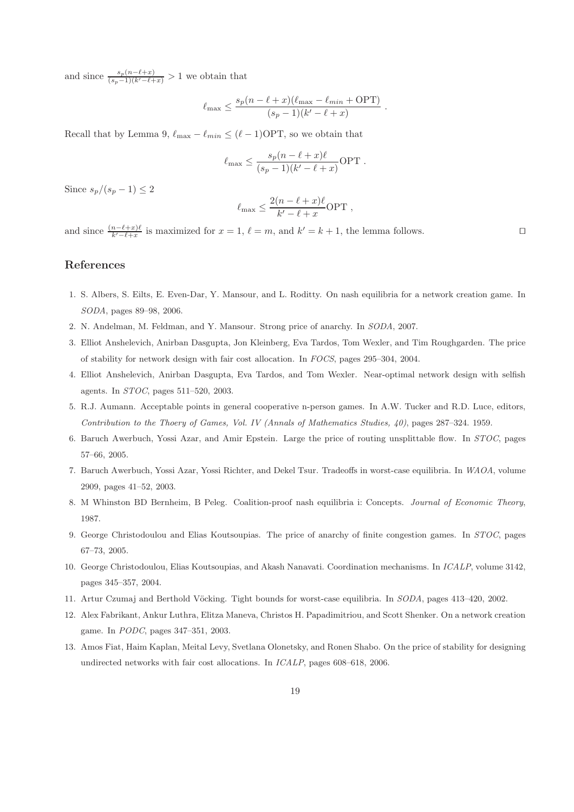and since  $\frac{s_p(n-\ell+x)}{(s_p-1)(k'-\ell+x)} > 1$  we obtain that

$$
\ell_{\max} \le \frac{s_p(n-\ell+x)(\ell_{\max}-\ell_{min}+\text{OPT})}{(s_p-1)(k'-\ell+x)}.
$$

Recall that by Lemma 9,  $\ell_{\text{max}} - \ell_{\text{min}} \leq (\ell - 1) \text{OPT}$ , so we obtain that

$$
\ell_{\max} \le \frac{s_p(n-\ell+x)\ell}{(s_p-1)(k'-\ell+x)} \text{OPT}.
$$

Since  $s_p/(s_p-1) \leq 2$ 

$$
\ell_{\max} \le \frac{2(n-\ell+x)\ell}{k'-\ell+x} \text{OPT} ,
$$

and since  $\frac{(n-\ell+x)\ell}{k'-\ell+x}$  is maximized for  $x=1$ ,  $\ell=m$ , and  $k'=k+1$ , the lemma follows. □

## References

- 1. S. Albers, S. Eilts, E. Even-Dar, Y. Mansour, and L. Roditty. On nash equilibria for a network creation game. In SODA, pages 89–98, 2006.
- 2. N. Andelman, M. Feldman, and Y. Mansour. Strong price of anarchy. In SODA, 2007.
- 3. Elliot Anshelevich, Anirban Dasgupta, Jon Kleinberg, Eva Tardos, Tom Wexler, and Tim Roughgarden. The price of stability for network design with fair cost allocation. In FOCS, pages 295–304, 2004.
- 4. Elliot Anshelevich, Anirban Dasgupta, Eva Tardos, and Tom Wexler. Near-optimal network design with selfish agents. In STOC, pages 511–520, 2003.
- 5. R.J. Aumann. Acceptable points in general cooperative n-person games. In A.W. Tucker and R.D. Luce, editors, Contribution to the Thoery of Games, Vol. IV (Annals of Mathematics Studies, 40), pages 287–324. 1959.
- 6. Baruch Awerbuch, Yossi Azar, and Amir Epstein. Large the price of routing unsplittable flow. In STOC, pages 57–66, 2005.
- 7. Baruch Awerbuch, Yossi Azar, Yossi Richter, and Dekel Tsur. Tradeoffs in worst-case equilibria. In WAOA, volume 2909, pages 41–52, 2003.
- 8. M Whinston BD Bernheim, B Peleg. Coalition-proof nash equilibria i: Concepts. Journal of Economic Theory, 1987.
- 9. George Christodoulou and Elias Koutsoupias. The price of anarchy of finite congestion games. In STOC, pages 67–73, 2005.
- 10. George Christodoulou, Elias Koutsoupias, and Akash Nanavati. Coordination mechanisms. In ICALP, volume 3142, pages 345–357, 2004.
- 11. Artur Czumaj and Berthold Vöcking. Tight bounds for worst-case equilibria. In SODA, pages 413–420, 2002.
- 12. Alex Fabrikant, Ankur Luthra, Elitza Maneva, Christos H. Papadimitriou, and Scott Shenker. On a network creation game. In PODC, pages 347–351, 2003.
- 13. Amos Fiat, Haim Kaplan, Meital Levy, Svetlana Olonetsky, and Ronen Shabo. On the price of stability for designing undirected networks with fair cost allocations. In ICALP, pages 608–618, 2006.